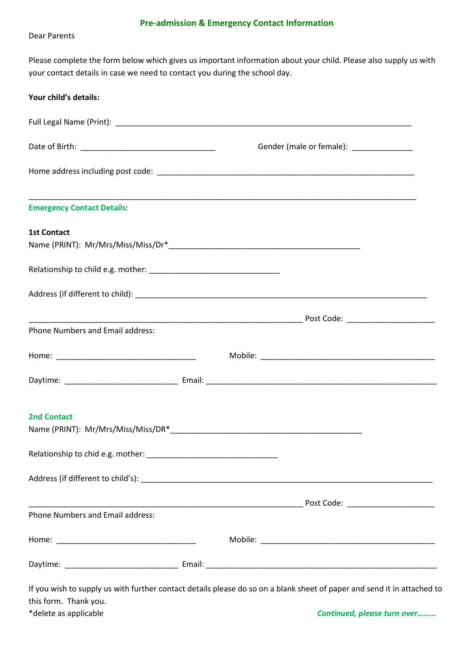#### **Pre-admission & Emergency Contact Information**

Dear Parents

Please complete the form below which gives us important information about your child. Please also supply us with your contact details in case we need to contact you during the school day.

|                                         |  | Gender (male or female): ______________ |                                                                                  |  |
|-----------------------------------------|--|-----------------------------------------|----------------------------------------------------------------------------------|--|
|                                         |  |                                         |                                                                                  |  |
| <b>Emergency Contact Details:</b>       |  |                                         | ,我们也不能在这里的时候,我们也不能在这里的时候,我们也不能会在这里,我们也不能会在这里的时候,我们也不能会在这里的时候,我们也不能会在这里的时候,我们也不能会 |  |
| <b>1st Contact</b>                      |  |                                         |                                                                                  |  |
|                                         |  |                                         |                                                                                  |  |
|                                         |  |                                         |                                                                                  |  |
|                                         |  |                                         |                                                                                  |  |
| <b>Phone Numbers and Email address:</b> |  |                                         |                                                                                  |  |
|                                         |  |                                         |                                                                                  |  |
|                                         |  |                                         |                                                                                  |  |
| <b>2nd Contact</b>                      |  |                                         |                                                                                  |  |
|                                         |  |                                         |                                                                                  |  |
|                                         |  |                                         |                                                                                  |  |
| Phone Numbers and Email address:        |  |                                         |                                                                                  |  |
|                                         |  |                                         |                                                                                  |  |
|                                         |  |                                         |                                                                                  |  |